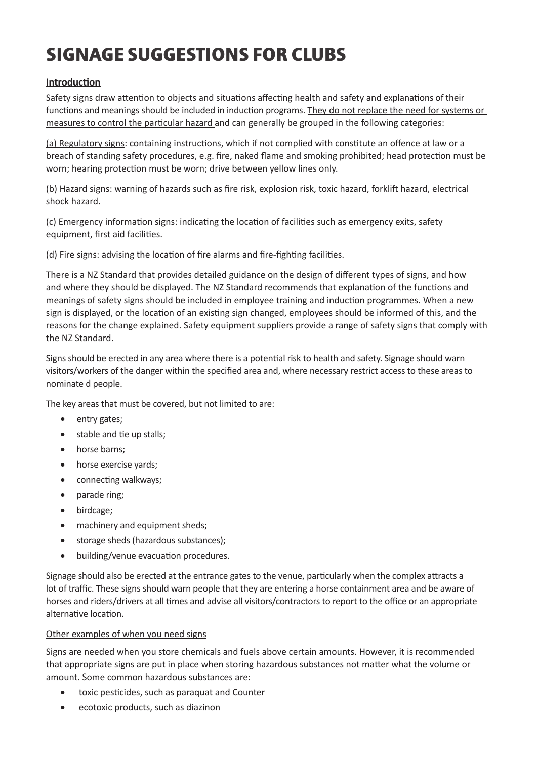# **SIGNAGE SUGGESTIONS FOR CLUBS**

# **Introduction**

Safety signs draw attention to objects and situations affecting health and safety and explanations of their functions and meanings should be included in induction programs. They do not replace the need for systems or measures to control the particular hazard and can generally be grouped in the following categories:

(a) Regulatory signs: containing instructions, which if not complied with constitute an offence at law or a breach of standing safety procedures, e.g. fire, naked flame and smoking prohibited; head protection must be worn; hearing protection must be worn; drive between yellow lines only.

(b) Hazard signs: warning of hazards such as fire risk, explosion risk, toxic hazard, forklift hazard, electrical shock hazard.

(c) Emergency information signs: indicating the location of facilities such as emergency exits, safety equipment, first aid facilities.

(d) Fire signs: advising the location of fire alarms and fire-fighting facilities.

There is a NZ Standard that provides detailed guidance on the design of different types of signs, and how and where they should be displayed. The NZ Standard recommends that explanation of the functions and meanings of safety signs should be included in employee training and induction programmes. When a new sign is displayed, or the location of an existing sign changed, employees should be informed of this, and the reasons for the change explained. Safety equipment suppliers provide a range of safety signs that comply with the NZ Standard.

Signs should be erected in any area where there is a potential risk to health and safety. Signage should warn visitors/workers of the danger within the specified area and, where necessary restrict access to these areas to nominate d people.

The key areas that must be covered, but not limited to are:

- entry gates;
- stable and tie up stalls;
- horse barns;
- horse exercise yards;
- connecting walkways;
- parade ring;
- birdcage:
- machinery and equipment sheds;
- storage sheds (hazardous substances);
- • building/venue evacuation procedures.

Signage should also be erected at the entrance gates to the venue, particularly when the complex attracts a lot of traffic. These signs should warn people that they are entering a horse containment area and be aware of horses and riders/drivers at all times and advise all visitors/contractors to report to the office or an appropriate alternative location.

#### Other examples of when you need signs

Signs are needed when you store chemicals and fuels above certain amounts. However, it is recommended that appropriate signs are put in place when storing hazardous substances not matter what the volume or amount. Some common hazardous substances are:

- • toxic pesticides, such as paraquat and Counter
- • ecotoxic products, such as diazinon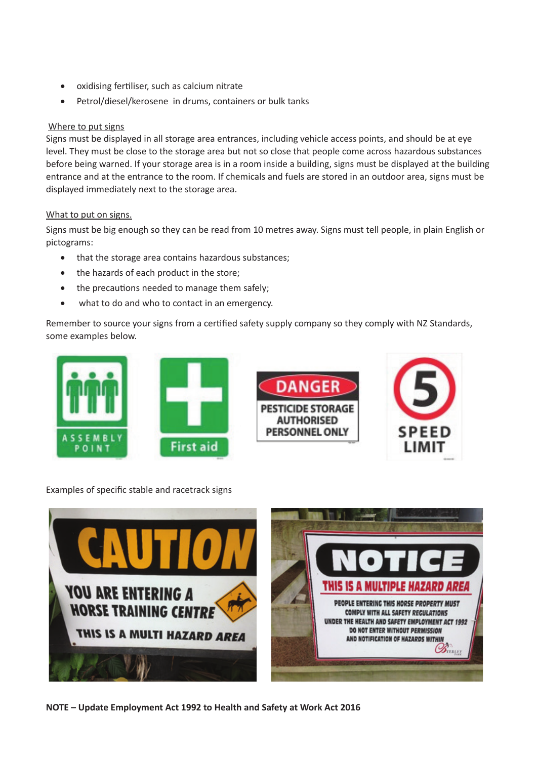- • oxidising fertiliser, such as calcium nitrate
- Petrol/diesel/kerosene in drums, containers or bulk tanks

### Where to put signs

Signs must be displayed in all storage area entrances, including vehicle access points, and should be at eye level. They must be close to the storage area but not so close that people come across hazardous substances before being warned. If your storage area is in a room inside a building, signs must be displayed at the building entrance and at the entrance to the room. If chemicals and fuels are stored in an outdoor area, signs must be displayed immediately next to the storage area.

## What to put on signs.

Signs must be big enough so they can be read from 10 metres away. Signs must tell people, in plain English or pictograms:

- that the storage area contains hazardous substances;
- the hazards of each product in the store:
- the precautions needed to manage them safely;
- what to do and who to contact in an emergency.

Remember to source your signs from a certified safety supply company so they comply with NZ Standards, some examples below.



Examples of specific stable and racetrack signs



**NOTE – Update Employment Act 1992 to Health and Safety at Work Act 2016**